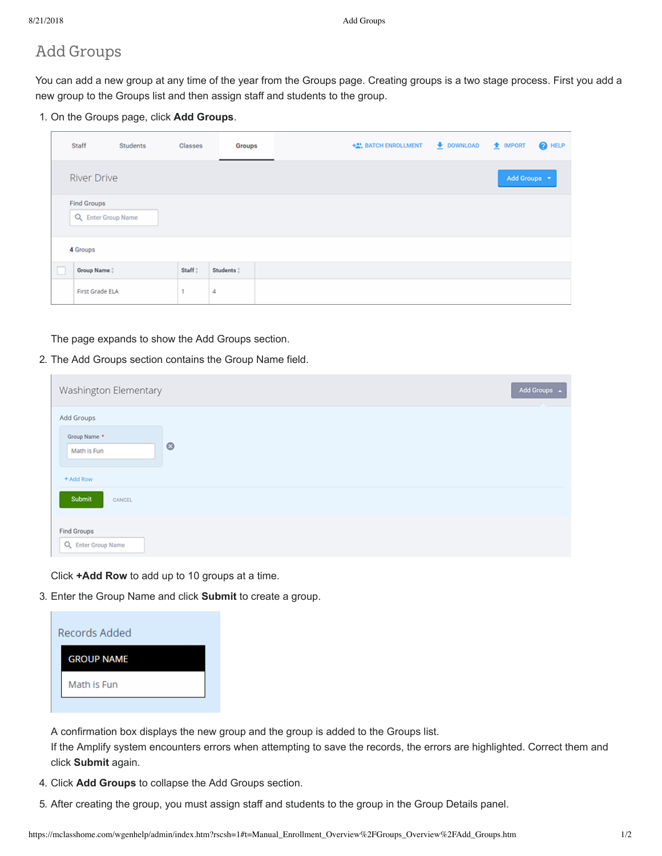## Add Groups

You can add a new group at any time of the year from the Groups page. Creating groups is a two stage process. First you add a new group to the Groups list and then assign staff and students to the group.

1. On the Groups page, click **Add Groups**.

|          | Staff                                    | Students | <b>Classes</b>     | Groups     |  |  | +2), BATCH ENROLLMENT + DOWNLOAD + IMPORT |  |  |  |  |              |  | <b>O</b> HELP |
|----------|------------------------------------------|----------|--------------------|------------|--|--|-------------------------------------------|--|--|--|--|--------------|--|---------------|
|          | <b>River Drive</b>                       |          |                    |            |  |  |                                           |  |  |  |  | Add Groups - |  |               |
|          | <b>Find Groups</b><br>Q Enter Group Name |          |                    |            |  |  |                                           |  |  |  |  |              |  |               |
| 4 Groups |                                          |          |                    |            |  |  |                                           |  |  |  |  |              |  |               |
|          | Group Name :                             |          | Staff <sup>+</sup> | Students : |  |  |                                           |  |  |  |  |              |  |               |
|          | First Grade ELA                          |          |                    | 4          |  |  |                                           |  |  |  |  |              |  |               |

The page expands to show the Add Groups section.

2. The Add Groups section contains the Group Name field.

| Washington Elementary                                             | Add Groups A<br><b>Contract Contract</b> |
|-------------------------------------------------------------------|------------------------------------------|
| Add Groups<br>Group Name *<br>$\circ$<br>Math is Fun<br>+ Add Row |                                          |
| Submit<br>CANCEL                                                  |                                          |
| <b>Find Groups</b><br>Q Enter Group Name                          |                                          |

Click **+Add Row** to add up to 10 groups at a time.

3. Enter the Group Name and click **Submit** to create a group.



A confirmation box displays the new group and the group is added to the Groups list.

If the Amplify system encounters errors when attempting to save the records, the errors are highlighted. Correct them and click **Submit** again.

- 4. Click **Add Groups** to collapse the Add Groups section.
- 5. After creating the group, you must assign staff and students to the group in the Group Details panel.